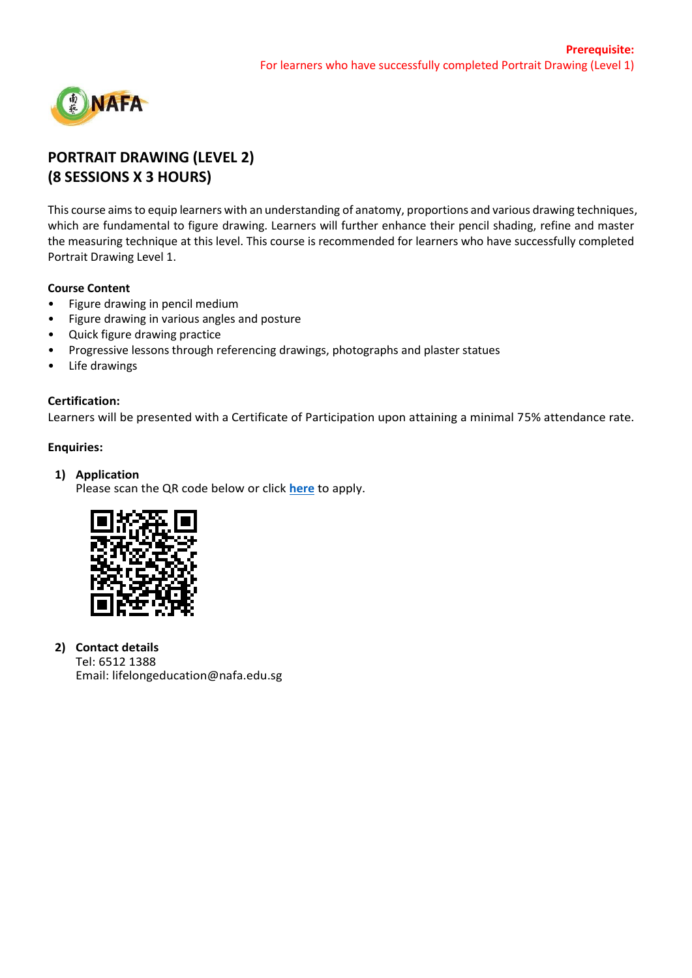

# **PORTRAIT DRAWING (LEVEL 2) (8 SESSIONS X 3 HOURS)**

This course aims to equip learners with an understanding of anatomy, proportions and various drawing techniques, which are fundamental to figure drawing. Learners will further enhance their pencil shading, refine and master the measuring technique at this level. This course is recommended for learners who have successfully completed Portrait Drawing Level 1.

## **Course Content**

- Figure drawing in pencil medium
- Figure drawing in various angles and posture
- Quick figure drawing practice
- Progressive lessons through referencing drawings, photographs and plaster statues
- Life drawings

# **Certification:**

Learners will be presented with a Certificate of Participation upon attaining a minimal 75% attendance rate.

# **Enquiries:**

# **1) Application**

Please scan the QR code below or click **[here](https://www.nafa.edu.sg/courses/part-time/short-courses#collapseFive)** to apply.



## **2) Contact details**

Tel: 6512 1388 Email: lifelongeducation@nafa.edu.sg